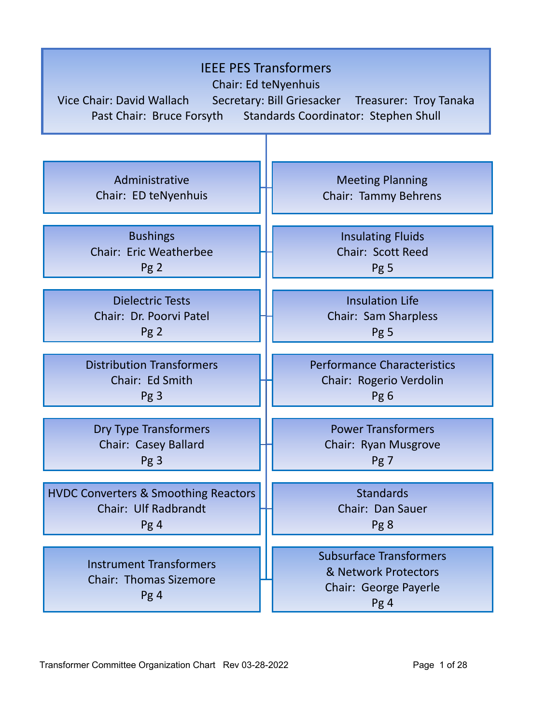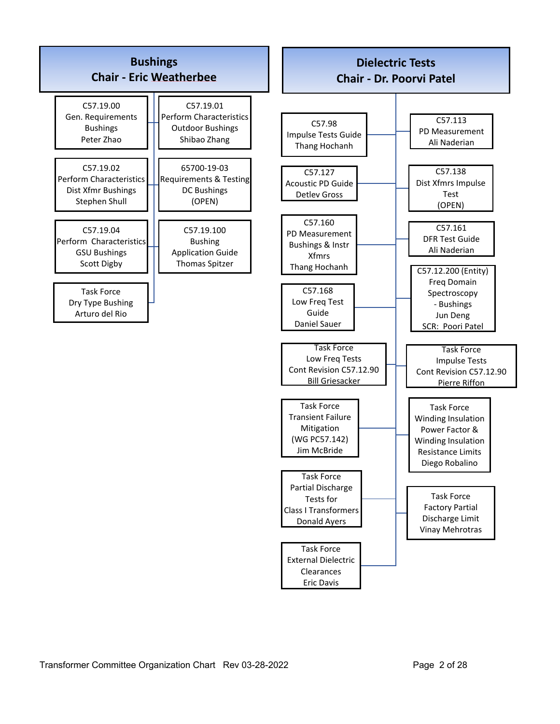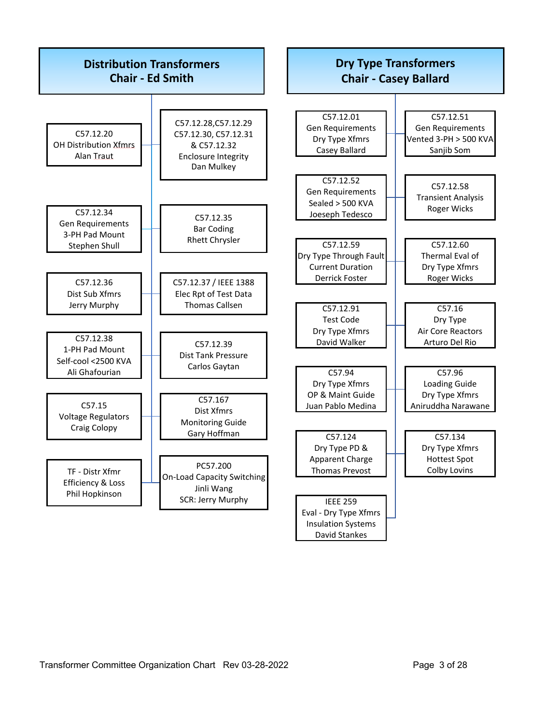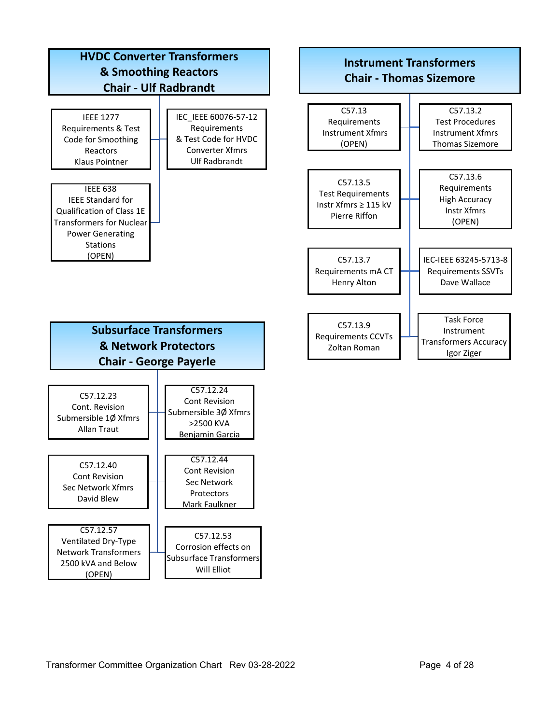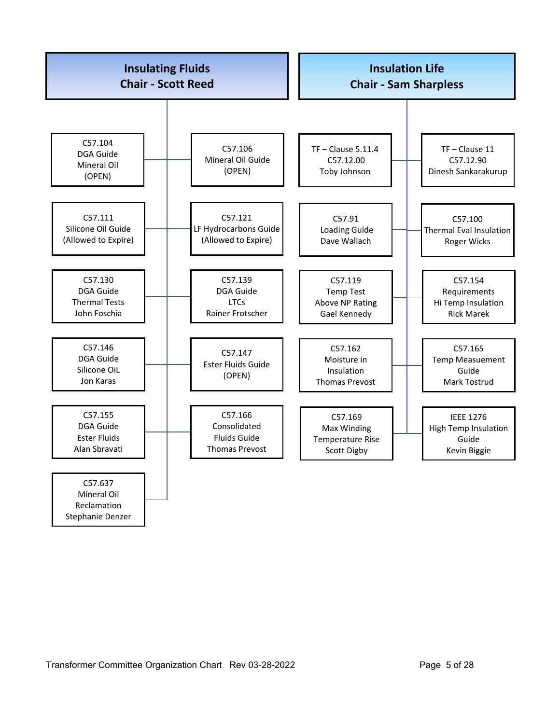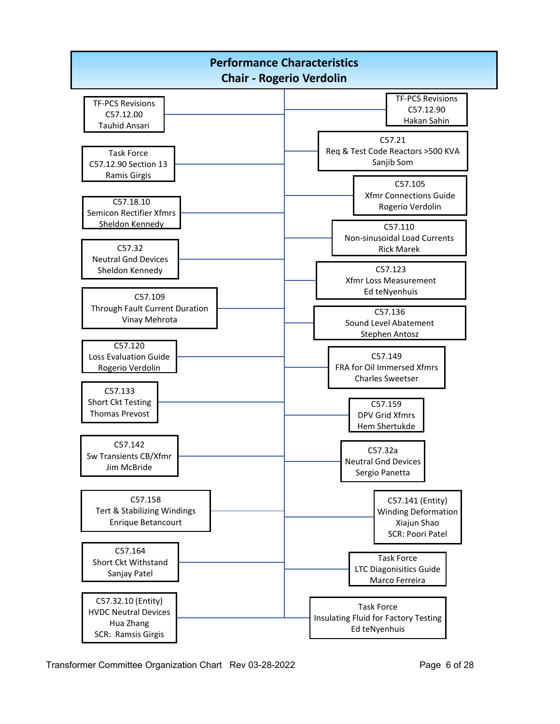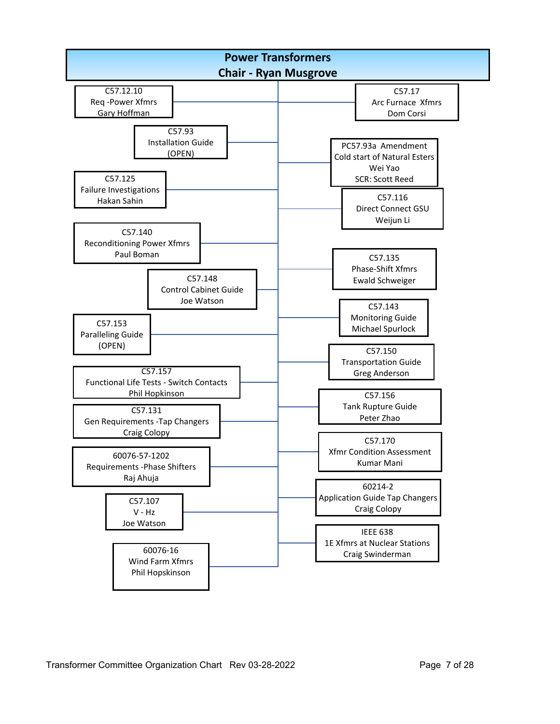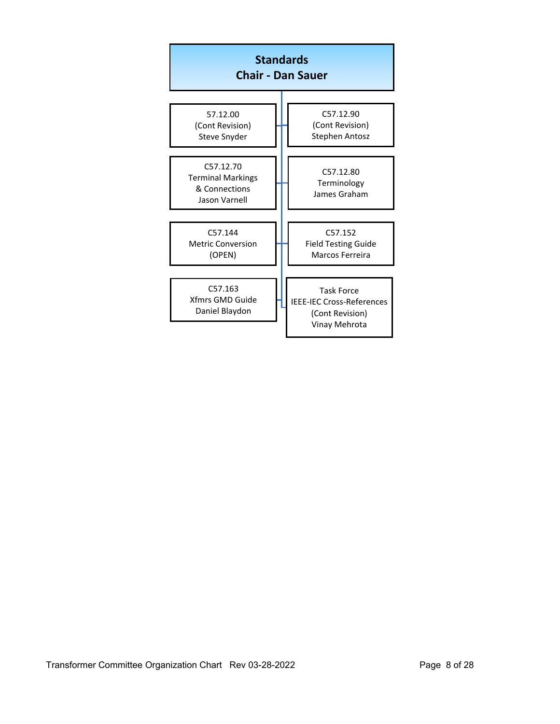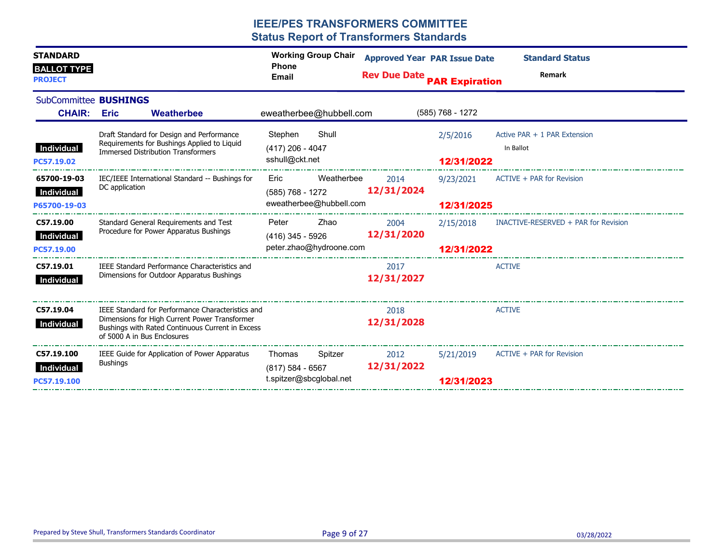| <b>STANDARD</b><br><b>BALLOT TYPE</b>                                                                  |                                           |                                                                                                                                                        | <b>Phone</b>                                                | <b>Working Group Chair</b> |                    | <b>Approved Year PAR Issue Date</b>       | <b>Standard Status</b>                         |  |
|--------------------------------------------------------------------------------------------------------|-------------------------------------------|--------------------------------------------------------------------------------------------------------------------------------------------------------|-------------------------------------------------------------|----------------------------|--------------------|-------------------------------------------|------------------------------------------------|--|
| <b>PROJECT</b>                                                                                         |                                           |                                                                                                                                                        | <b>Rev Due Date PAR Expiration</b><br>Email                 |                            |                    |                                           | Remark                                         |  |
| SubCommittee <b>BUSHINGS</b>                                                                           |                                           |                                                                                                                                                        |                                                             |                            |                    |                                           |                                                |  |
| <b>CHAIR: Eric</b>                                                                                     |                                           | Weatherbee                                                                                                                                             |                                                             | eweatherbee@hubbell.com    |                    | $(585)$ 768 - 1272                        |                                                |  |
| Draft Standard for Design and Performance<br>Requirements for Bushings Applied to Liquid<br>Individual |                                           | Stephen<br>$(417)$ 206 - 4047                                                                                                                          | Shull                                                       |                            | 2/5/2016           | Active PAR + 1 PAR Extension<br>In Ballot |                                                |  |
| PC57.19.02                                                                                             | <b>Immersed Distribution Transformers</b> |                                                                                                                                                        | sshull@ckt.net                                              |                            |                    | 12/31/2022                                |                                                |  |
| 65700-19-03                                                                                            | DC application                            | IEC/IEEE International Standard -- Bushings for                                                                                                        | Eric                                                        | Weatherbee                 | 2014               | 9/23/2021                                 | ACTIVE + PAR for Revision                      |  |
| Individual<br>P65700-19-03                                                                             |                                           |                                                                                                                                                        | 12/31/2024<br>(585) 768 - 1272<br>eweatherbee@hubbell.com   |                            |                    | 12/31/2025                                |                                                |  |
| C57.19.00                                                                                              |                                           | Standard General Requirements and Test<br>Procedure for Power Apparatus Bushings                                                                       | Peter                                                       | Zhao                       | 2004               |                                           | 2/15/2018 INACTIVE-RESERVED + PAR for Revision |  |
| Individual<br>PC57.19.00                                                                               |                                           |                                                                                                                                                        | 12/31/2020<br>$(416)$ 345 - 5926<br>peter.zhao@hydroone.com |                            |                    | 12/31/2022                                |                                                |  |
| C57.19.01<br>Individual                                                                                |                                           | IEEE Standard Performance Characteristics and<br>Dimensions for Outdoor Apparatus Bushings                                                             |                                                             |                            | 2017<br>12/31/2027 |                                           | <b>ACTIVE</b>                                  |  |
| C57.19.04<br>Individual                                                                                | of 5000 A in Bus Enclosures               | IEEE Standard for Performance Characteristics and<br>Dimensions for High Current Power Transformer<br>Bushings with Rated Continuous Current in Excess |                                                             |                            | 2018<br>12/31/2028 |                                           | <b>ACTIVE</b>                                  |  |
| C57.19.100<br>Individual<br>PC57.19.100                                                                | <b>Bushings</b>                           | IEEE Guide for Application of Power Apparatus                                                                                                          | Thomas<br>$(817)$ 584 - 6567<br>t.spitzer@sbcglobal.net     | Spitzer                    | 2012<br>12/31/2022 | 5/21/2019<br>12/31/2023                   | ACTIVE + PAR for Revision                      |  |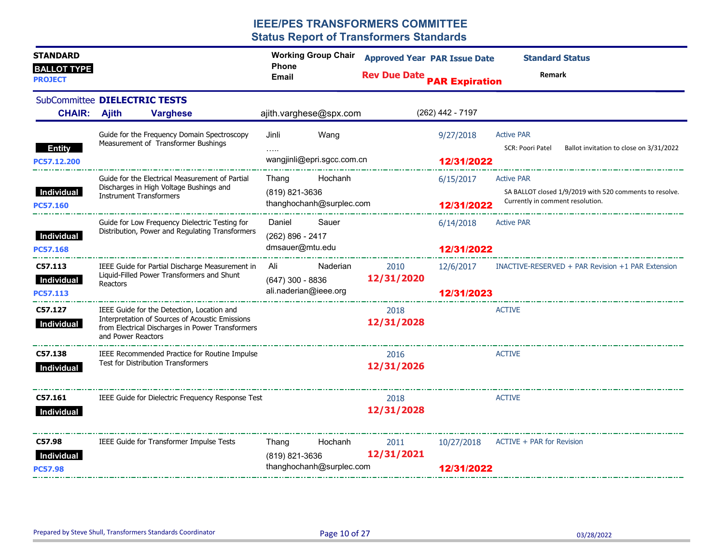| <b>STANDARD</b><br><b>BALLOT TYPE</b><br><b>PROJECT</b> |                                |                                                                                                                                                   | <b>Working Group Chair</b><br><b>Phone</b><br><b>Email</b> |          | <b>Approved Year PAR Issue Date</b><br><b>Rev Due Date PAR Expiration</b> |                          | <b>Standard Status</b><br>Remark                                                                                 |
|---------------------------------------------------------|--------------------------------|---------------------------------------------------------------------------------------------------------------------------------------------------|------------------------------------------------------------|----------|---------------------------------------------------------------------------|--------------------------|------------------------------------------------------------------------------------------------------------------|
| SubCommittee DIELECTRIC TESTS<br><b>CHAIR: Ajith</b>    |                                | <b>Varghese</b>                                                                                                                                   | ajith.varghese@spx.com                                     |          |                                                                           | $(262)$ 442 - 7197       |                                                                                                                  |
| <b>Entity</b><br>PC57.12.200                            |                                | Guide for the Frequency Domain Spectroscopy<br>Measurement of Transformer Bushings                                                                | Jinli<br>wangjinli@epri.sgcc.com.cn                        | Wang     |                                                                           | 9/27/2018<br>12/31/2022  | <b>Active PAR</b><br>SCR: Poori Patel<br>Ballot invitation to close on 3/31/2022                                 |
| <b>Individual</b><br><b>PC57.160</b>                    | <b>Instrument Transformers</b> | Guide for the Electrical Measurement of Partial<br>Discharges in High Voltage Bushings and                                                        | Thang<br>(819) 821-3636<br>thanghochanh@surplec.com        | Hochanh  |                                                                           | 6/15/2017<br>12/31/2022  | <b>Active PAR</b><br>SA BALLOT closed 1/9/2019 with 520 comments to resolve.<br>Currently in comment resolution. |
| Individual<br><b>PC57.168</b>                           |                                | Guide for Low Frequency Dielectric Testing for<br>Distribution, Power and Regulating Transformers                                                 | Daniel<br>(262) 896 - 2417<br>dmsauer@mtu.edu              | Sauer    |                                                                           | 6/14/2018<br>12/31/2022  | <b>Active PAR</b>                                                                                                |
| C57.113<br>Individual<br>PC57.113                       | Reactors                       | IEEE Guide for Partial Discharge Measurement in<br>Liquid-Filled Power Transformers and Shunt                                                     | Ali<br>$(647)$ 300 - 8836<br>ali.naderian@ieee.org         | Naderian | 2010<br>12/31/2020                                                        | 12/6/2017<br>12/31/2023  | INACTIVE-RESERVED + PAR Revision +1 PAR Extension                                                                |
| C57.127<br>Individual                                   | and Power Reactors             | IEEE Guide for the Detection, Location and<br>Interpretation of Sources of Acoustic Emissions<br>from Electrical Discharges in Power Transformers |                                                            |          | 2018<br>12/31/2028                                                        |                          | <b>ACTIVE</b>                                                                                                    |
| C57.138<br>Individual                                   |                                | IEEE Recommended Practice for Routine Impulse<br>Test for Distribution Transformers                                                               |                                                            |          | 2016<br>12/31/2026                                                        |                          | <b>ACTIVE</b>                                                                                                    |
| C57.161<br>Individual                                   |                                | IEEE Guide for Dielectric Frequency Response Test                                                                                                 |                                                            |          | 2018<br>12/31/2028                                                        |                          | <b>ACTIVE</b>                                                                                                    |
| C57.98<br>Individual<br><b>PC57.98</b>                  |                                | IEEE Guide for Transformer Impulse Tests                                                                                                          | Thang<br>(819) 821-3636<br>thanghochanh@surplec.com        | Hochanh  | 2011<br>12/31/2021                                                        | 10/27/2018<br>12/31/2022 | ACTIVE + PAR for Revision                                                                                        |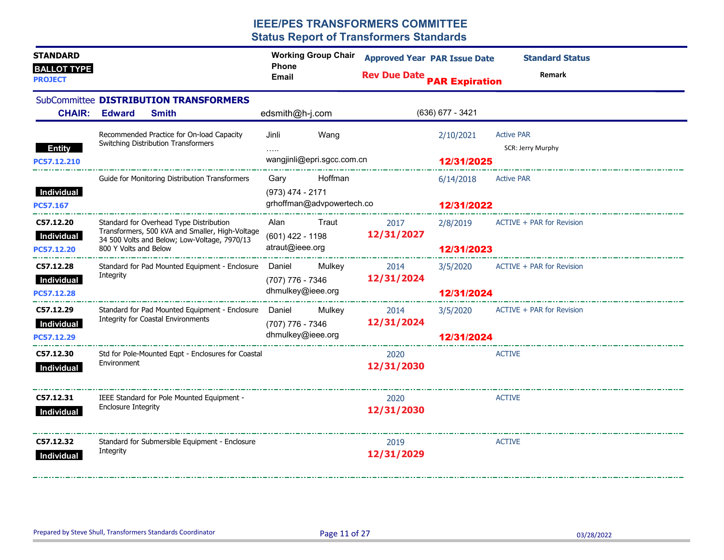| <b>STANDARD</b><br><b>BALLOT TYPE</b><br><b>PROJECT</b> |                                                                                                                                                                     | <b>Working Group Chair</b><br><b>Phone</b><br><b>Email</b>                                     | <b>Approved Year PAR Issue Date</b><br><b>Rev Due Date PAR Expiration</b> |                                       | <b>Standard Status</b><br><b>Remark</b> |
|---------------------------------------------------------|---------------------------------------------------------------------------------------------------------------------------------------------------------------------|------------------------------------------------------------------------------------------------|---------------------------------------------------------------------------|---------------------------------------|-----------------------------------------|
| <b>CHAIR:</b>                                           | SubCommittee DISTRIBUTION TRANSFORMERS<br><b>Edward</b><br><b>Smith</b>                                                                                             | edsmith@h-j.com                                                                                |                                                                           | $(636)$ 677 - 3421                    |                                         |
| <b>Entity</b>                                           | Recommended Practice for On-load Capacity<br>Switching Distribution Transformers                                                                                    | Jinli<br>Wang<br>$\ldots$                                                                      |                                                                           | 2/10/2021                             | <b>Active PAR</b><br>SCR: Jerry Murphy  |
| PC57.12.210<br>Individual<br>PC57.167                   | Guide for Monitoring Distribution Transformers                                                                                                                      | wangjinli@epri.sgcc.com.cn<br>Hoffman<br>Gary<br>(973) 474 - 2171<br>grhoffman@advpowertech.co |                                                                           | 12/31/2025<br>6/14/2018<br>12/31/2022 | <b>Active PAR</b>                       |
| C57.12.20<br>Individual<br>PC57.12.20                   | Standard for Overhead Type Distribution<br>Transformers, 500 kVA and Smaller, High-Voltage<br>34 500 Volts and Below; Low-Voltage, 7970/13<br>800 Y Volts and Below | Traut<br>Alan<br>(601) 422 - 1198<br>atraut@ieee.org                                           | 2017<br>12/31/2027                                                        | 12/31/2023                            | 2/8/2019 ACTIVE + PAR for Revision      |
| C57.12.28<br>Individual<br>PC57.12.28                   | Standard for Pad Mounted Equipment - Enclosure Daniel<br>Integrity                                                                                                  | Mulkey<br>(707) 776 - 7346<br>dhmulkey@ieee.org                                                | 2014<br>12/31/2024                                                        | 12/31/2024                            | 3/5/2020 ACTIVE + PAR for Revision      |
| C57.12.29<br>Individual<br>PC57.12.29                   | Standard for Pad Mounted Equipment - Enclosure Daniel Mulkey<br><b>Integrity for Coastal Environments</b>                                                           | $(707)$ 776 - 7346<br>dhmulkey@ieee.org                                                        | 2014<br>12/31/2024                                                        | 3/5/2020<br>12/31/2024                | ACTIVE + PAR for Revision               |
| C57.12.30<br>Individual                                 | Std for Pole-Mounted Eqpt - Enclosures for Coastal<br>Environment                                                                                                   |                                                                                                | 2020<br>12/31/2030                                                        |                                       | ACTIVE                                  |
| C57.12.31<br>Individual                                 | IEEE Standard for Pole Mounted Equipment -<br><b>Enclosure Integrity</b>                                                                                            |                                                                                                | 2020<br>12/31/2030                                                        |                                       | <b>ACTIVE</b>                           |
| C57.12.32<br>Individual                                 | Standard for Submersible Equipment - Enclosure<br>Integrity                                                                                                         |                                                                                                | 2019<br>12/31/2029                                                        |                                       | <b>ACTIVE</b>                           |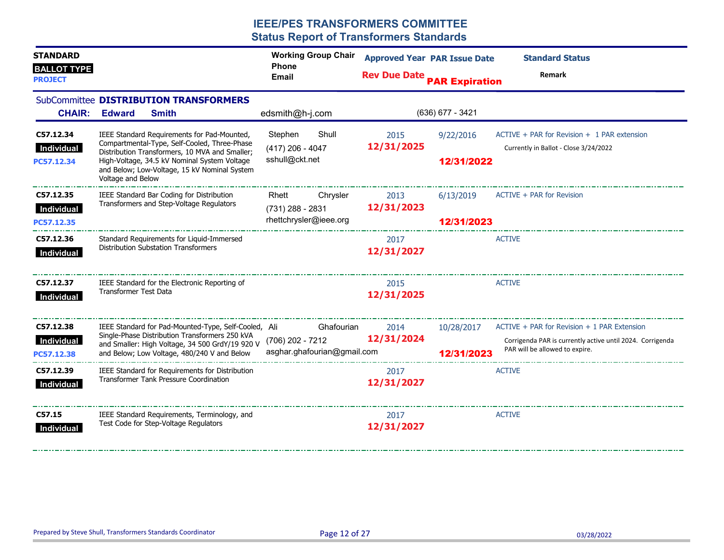| <b>STANDARD</b>                      |                                                                                                                                                                     | <b>Working Group Chair</b><br><b>Phone</b>      | <b>Approved Year PAR Issue Date</b> |                  | <b>Standard Status</b>                                                                      |
|--------------------------------------|---------------------------------------------------------------------------------------------------------------------------------------------------------------------|-------------------------------------------------|-------------------------------------|------------------|---------------------------------------------------------------------------------------------|
| <b>BALLOT TYPE</b><br><b>PROJECT</b> |                                                                                                                                                                     | <b>Email</b>                                    | <b>Rev Due Date PAR Expiration</b>  |                  | Remark                                                                                      |
| <b>CHAIR:</b>                        | SubCommittee DISTRIBUTION TRANSFORMERS<br><b>Edward</b><br><b>Smith</b>                                                                                             | edsmith@h-j.com                                 |                                     | (636) 677 - 3421 |                                                                                             |
| C57.12.34<br>Individual              | IEEE Standard Requirements for Pad-Mounted,<br>Compartmental-Type, Self-Cooled, Three-Phase                                                                         | Shull<br>Stephen<br>$(417)$ 206 - 4047          | 2015<br>12/31/2025                  | 9/22/2016        | $ACTIVE + PAR$ for Revision $+ 1$ PAR extension<br>Currently in Ballot - Close 3/24/2022    |
| PC57.12.34                           | Distribution Transformers, 10 MVA and Smaller;<br>High-Voltage, 34.5 kV Nominal System Voltage<br>and Below; Low-Voltage, 15 kV Nominal System<br>Voltage and Below | sshull@ckt.net                                  |                                     | 12/31/2022       |                                                                                             |
| C57.12.35<br>Individual              | IEEE Standard Bar Coding for Distribution<br>Transformers and Step-Voltage Regulators                                                                               | Rhett<br>Chrysler<br>(731) 288 - 2831           | 2013<br>12/31/2023                  | 6/13/2019        | ACTIVE + PAR for Revision                                                                   |
| PC57.12.35                           |                                                                                                                                                                     | rhettchrysler@ieee.org<br>--------------------  |                                     | 12/31/2023       |                                                                                             |
| C57.12.36<br>Individual              | Standard Requirements for Liquid-Immersed<br><b>Distribution Substation Transformers</b>                                                                            |                                                 | 2017<br>12/31/2027                  |                  | <b>ACTIVE</b>                                                                               |
| C57.12.37<br>Individual              | IEEE Standard for the Electronic Reporting of<br><b>Transformer Test Data</b>                                                                                       |                                                 | 2015<br>12/31/2025                  |                  | <b>ACTIVE</b>                                                                               |
| C57.12.38                            | IEEE Standard for Pad-Mounted-Type, Self-Cooled, Ali                                                                                                                | Ghafourian                                      | 2014                                |                  | 10/28/2017 ACTIVE + PAR for Revision + 1 PAR Extension                                      |
| Individual<br>PC57.12.38             | Single-Phase Distribution Transformers 250 kVA<br>and Smaller: High Voltage, 34 500 GrdY/19 920 V<br>and Below; Low Voltage, 480/240 V and Below                    | (706) 202 - 7212<br>asghar.ghafourian@gmail.com | 12/31/2024                          | 12/31/2023       | Corrigenda PAR is currently active until 2024. Corrigenda<br>PAR will be allowed to expire. |
| C57.12.39<br>Individual              | IEEE Standard for Requirements for Distribution<br><b>Transformer Tank Pressure Coordination</b>                                                                    |                                                 | 2017<br>12/31/2027                  |                  | <b>ACTIVE</b>                                                                               |
| C57.15<br>Individual                 | IEEE Standard Requirements, Terminology, and<br>Test Code for Step-Voltage Regulators                                                                               |                                                 | 2017<br>12/31/2027                  |                  | <b>ACTIVE</b>                                                                               |

--------------------------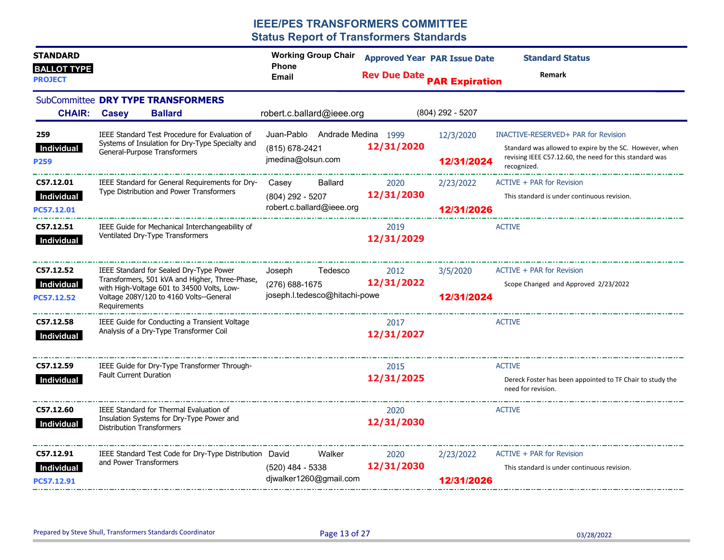| <b>STANDARD</b><br><b>BALLOT TYPE</b><br><b>PROJECT</b> |                                                                                                                                                                                                    | <b>Working Group Chair</b><br><b>Phone</b><br>Email                  | <b>Approved Year PAR Issue Date</b><br><b>Rev Due Date PAR Expiration</b> |                         | <b>Standard Status</b><br>Remark                                                                                                  |
|---------------------------------------------------------|----------------------------------------------------------------------------------------------------------------------------------------------------------------------------------------------------|----------------------------------------------------------------------|---------------------------------------------------------------------------|-------------------------|-----------------------------------------------------------------------------------------------------------------------------------|
| <b>CHAIR:</b>                                           | SubCommittee DRY TYPE TRANSFORMERS<br><b>Casey</b><br><b>Ballard</b>                                                                                                                               | robert.c.ballard@ieee.org                                            |                                                                           | (804) 292 - 5207        |                                                                                                                                   |
| 259                                                     | IEEE Standard Test Procedure for Evaluation of                                                                                                                                                     | Juan-Pablo Andrade Medina 1999                                       |                                                                           | 12/3/2020               | INACTIVE-RESERVED+ PAR for Revision                                                                                               |
| <b>Individual</b><br>P259                               | Systems of Insulation for Dry-Type Specialty and<br>General-Purpose Transformers                                                                                                                   | (815) 678-2421<br>jmedina@olsun.com                                  | 12/31/2020                                                                | 12/31/2024              | Standard was allowed to expire by the SC. However, when<br>revising IEEE C57.12.60, the need for this standard was<br>recognized. |
| C57.12.01                                               | IEEE Standard for General Requirements for Dry-                                                                                                                                                    | Ballard<br>Casey                                                     | 2020                                                                      | 2/23/2022               | ACTIVE + PAR for Revision                                                                                                         |
| Individual<br>PC57.12.01                                | Type Distribution and Power Transformers                                                                                                                                                           | (804) 292 - 5207<br>robert.c.ballard@ieee.org                        | 12/31/2030                                                                | 12/31/2026              | This standard is under continuous revision.                                                                                       |
| C57.12.51<br>Individual                                 | IEEE Guide for Mechanical Interchangeability of<br>Ventilated Dry-Type Transformers                                                                                                                |                                                                      | 2019<br>12/31/2029                                                        |                         | <b>ACTIVE</b>                                                                                                                     |
| C57.12.52<br>Individual<br>PC57.12.52                   | IEEE Standard for Sealed Dry-Type Power<br>Transformers, 501 kVA and Higher, Three-Phase,<br>with High-Voltage 601 to 34500 Volts, Low-<br>Voltage 208Y/120 to 4160 Volts--General<br>Requirements | Joseph<br>Tedesco<br>(276) 688-1675<br>joseph.l.tedesco@hitachi-powe | 2012<br>12/31/2022                                                        | 3/5/2020<br>12/31/2024  | ACTIVE + PAR for Revision<br>Scope Changed and Approved 2/23/2022                                                                 |
| C57.12.58<br>Individual                                 | IEEE Guide for Conducting a Transient Voltage<br>Analysis of a Dry-Type Transformer Coil                                                                                                           |                                                                      | 2017<br>12/31/2027                                                        |                         | <b>ACTIVE</b>                                                                                                                     |
| C57.12.59<br>Individual                                 | IEEE Guide for Dry-Type Transformer Through-<br><b>Fault Current Duration</b>                                                                                                                      |                                                                      | 2015<br>12/31/2025                                                        |                         | <b>ACTIVE</b><br>Dereck Foster has been appointed to TF Chair to study the<br>need for revision.                                  |
| C57.12.60<br>Individual                                 | IEEE Standard for Thermal Evaluation of<br>Insulation Systems for Dry-Type Power and<br><b>Distribution Transformers</b>                                                                           |                                                                      | 2020<br>12/31/2030                                                        |                         | <b>ACTIVE</b>                                                                                                                     |
| C57.12.91<br><b>Individual</b><br>PC57.12.91            | IEEE Standard Test Code for Dry-Type Distribution David<br>and Power Transformers                                                                                                                  | Walker<br>(520) 484 - 5338<br>djwalker1260@gmail.com                 | 2020<br>12/31/2030                                                        | 2/23/2022<br>12/31/2026 | ACTIVE + PAR for Revision<br>This standard is under continuous revision.                                                          |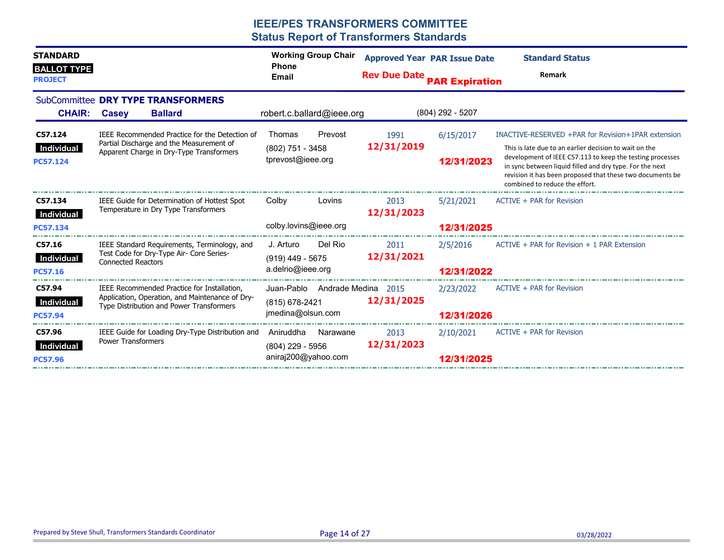| <b>STANDARD</b><br><b>BALLOT TYPE</b><br><b>PROJECT</b> |                                                                                                                                            | <b>Working Group Chair</b><br><b>Phone</b><br><b>Email</b>            | <b>Approved Year PAR Issue Date</b><br><b>Rev Due Date</b> | <b>PAR Expiration</b>   | <b>Standard Status</b><br>Remark                                                                                                                                                                                                                                                                                                     |
|---------------------------------------------------------|--------------------------------------------------------------------------------------------------------------------------------------------|-----------------------------------------------------------------------|------------------------------------------------------------|-------------------------|--------------------------------------------------------------------------------------------------------------------------------------------------------------------------------------------------------------------------------------------------------------------------------------------------------------------------------------|
| <b>CHAIR:</b>                                           | SubCommittee DRY TYPE TRANSFORMERS<br><b>Ballard</b><br><b>Casey</b>                                                                       | robert.c.ballard@ieee.org                                             |                                                            | $(804)$ 292 - 5207      |                                                                                                                                                                                                                                                                                                                                      |
| C57.124<br>Individual<br><b>PC57.124</b>                | IEEE Recommended Practice for the Detection of<br>Partial Discharge and the Measurement of<br>Apparent Charge in Dry-Type Transformers     | Prevost<br>Thomas<br>(802) 751 - 3458<br>tprevost@ieee.org            | 1991<br>12/31/2019                                         | 6/15/2017<br>12/31/2023 | INACTIVE-RESERVED +PAR for Revision+1PAR extension<br>This is late due to an earlier decision to wait on the<br>development of IEEE C57.113 to keep the testing processes<br>in sync between liquid filled and dry type. For the next<br>revision it has been proposed that these two documents be<br>combined to reduce the effort. |
| C57.134<br>Individual<br><b>PC57.134</b>                | IEEE Guide for Determination of Hottest Spot<br>Temperature in Dry Type Transformers                                                       | Colby<br>Lovins<br>colby.lovins@ieee.org                              | 2013<br>12/31/2023                                         | 5/21/2021<br>12/31/2025 | ACTIVE + PAR for Revision                                                                                                                                                                                                                                                                                                            |
| C57.16<br>Individual<br><b>PC57.16</b>                  | IEEE Standard Requirements, Terminology, and<br>Test Code for Dry-Type Air- Core Series-<br><b>Connected Reactors</b>                      | Del Rio<br>J. Arturo<br>$(919)$ 449 - 5675<br>a.delrio@ieee.org       | 2011<br>12/31/2021                                         | 2/5/2016<br>12/31/2022  | $ACTIVE + PAR$ for Revision $+ 1$ PAR Extension                                                                                                                                                                                                                                                                                      |
| C57.94<br>Individual<br><b>PC57.94</b>                  | IEEE Recommended Practice for Installation,<br>Application, Operation, and Maintenance of Dry-<br>Type Distribution and Power Transformers | Juan-Pablo Andrade Medina 2015<br>(815) 678-2421<br>jmedina@olsun.com | 12/31/2025                                                 | 2/23/2022<br>12/31/2026 | ACTIVE + PAR for Revision                                                                                                                                                                                                                                                                                                            |
| C57.96<br>Individual<br><b>PC57.96</b>                  | IEEE Guide for Loading Dry-Type Distribution and<br><b>Power Transformers</b>                                                              | Aniruddha<br>Narawane<br>$(804)$ 229 - 5956<br>aniraj200@yahoo.com    | 2013<br>12/31/2023                                         | 2/10/2021<br>12/31/2025 | ACTIVE + PAR for Revision                                                                                                                                                                                                                                                                                                            |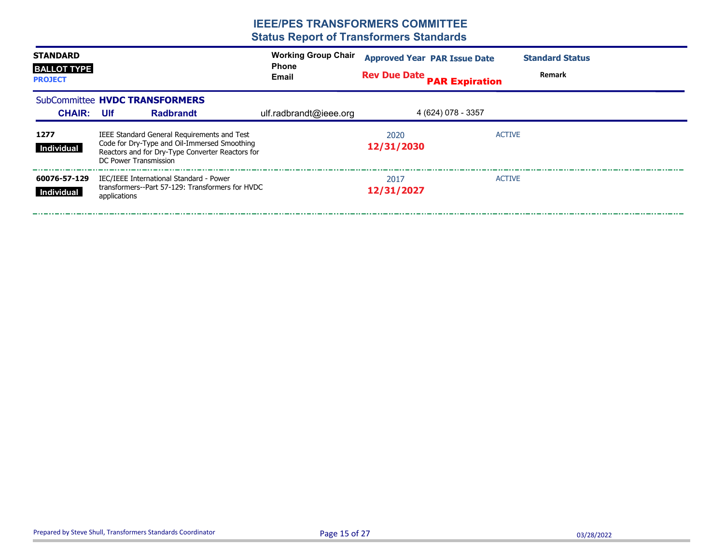| <b>STANDARD</b><br><b>BALLOT TYPE</b><br><b>PROJECT</b> | <b>Working Group Chair</b><br><b>Phone</b><br><b>Email</b> |                                                                                                                                                                          |  | <b>Approved Year PAR Issue Date</b><br><b>Rev Due Date PAR Expiration</b> |                    | <b>Standard Status</b><br>Remark |               |  |
|---------------------------------------------------------|------------------------------------------------------------|--------------------------------------------------------------------------------------------------------------------------------------------------------------------------|--|---------------------------------------------------------------------------|--------------------|----------------------------------|---------------|--|
|                                                         |                                                            | SubCommittee HVDC TRANSFORMERS                                                                                                                                           |  |                                                                           |                    |                                  |               |  |
| <b>CHAIR: UIf</b>                                       |                                                            | <b>Radbrandt</b>                                                                                                                                                         |  | ulf.radbrandt@ieee.org                                                    |                    | 4 (624) 078 - 3357               |               |  |
| 1277<br>Individual                                      |                                                            | IEEE Standard General Requirements and Test<br>Code for Dry-Type and Oil-Immersed Smoothing<br>Reactors and for Dry-Type Converter Reactors for<br>DC Power Transmission |  |                                                                           | 2020<br>12/31/2030 |                                  | <b>ACTIVE</b> |  |
| 60076-57-129<br>Individual                              | applications                                               | IEC/IEEE International Standard - Power<br>transformers--Part 57-129: Transformers for HVDC                                                                              |  |                                                                           | 2017<br>12/31/2027 |                                  | <b>ACTIVE</b> |  |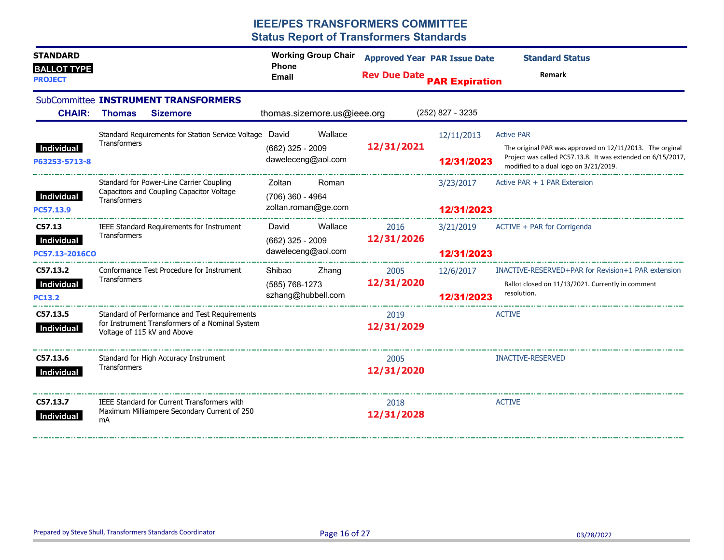| <b>STANDARD</b>                      |                                                           |                                                                                                  | <b>Working Group Chair</b>               |                                                                                                                                                                  | <b>Approved Year PAR Issue Date</b> |                                              | <b>Standard Status</b>                                           |  |
|--------------------------------------|-----------------------------------------------------------|--------------------------------------------------------------------------------------------------|------------------------------------------|------------------------------------------------------------------------------------------------------------------------------------------------------------------|-------------------------------------|----------------------------------------------|------------------------------------------------------------------|--|
| <b>BALLOT TYPE</b><br><b>PROJECT</b> |                                                           |                                                                                                  | <b>Phone</b><br><b>Email</b>             |                                                                                                                                                                  |                                     | <b>Rev Due Date PAR Expiration</b><br>Remark |                                                                  |  |
|                                      |                                                           | SubCommittee INSTRUMENT TRANSFORMERS                                                             |                                          |                                                                                                                                                                  |                                     |                                              |                                                                  |  |
| <b>CHAIR:</b>                        | <b>Thomas</b>                                             | <b>Sizemore</b>                                                                                  | thomas.sizemore.us@ieee.org              |                                                                                                                                                                  |                                     | $(252)$ 827 - 3235                           |                                                                  |  |
|                                      | Transformers                                              | Standard Requirements for Station Service Voltage David                                          |                                          | Wallace                                                                                                                                                          |                                     | 12/11/2013                                   | <b>Active PAR</b>                                                |  |
| Individual<br>P63253-5713-8          |                                                           | 12/31/2021<br>$(662)$ 325 - 2009<br>daweleceng@aol.com                                           | 12/31/2023                               | The original PAR was approved on 12/11/2013. The orginal<br>Project was called PC57.13.8. It was extended on 6/15/2017,<br>modified to a dual logo on 3/21/2019. |                                     |                                              |                                                                  |  |
|                                      |                                                           | Standard for Power-Line Carrier Coupling                                                         | Zoltan                                   | Roman                                                                                                                                                            |                                     | 3/23/2017                                    | Active PAR + 1 PAR Extension                                     |  |
| Individual<br>PC57.13.9              | Capacitors and Coupling Capacitor Voltage<br>Transformers |                                                                                                  | (706) 360 - 4964<br>zoltan.roman@ge.com  |                                                                                                                                                                  |                                     | 12/31/2023                                   |                                                                  |  |
| C57.13                               | <b>Transformers</b>                                       | IEEE Standard Requirements for Instrument                                                        | David                                    | Wallace                                                                                                                                                          | 2016                                | 3/21/2019                                    | ACTIVE + PAR for Corrigenda                                      |  |
| Individual<br>PC57.13-2016CO         |                                                           |                                                                                                  | $(662)$ 325 - 2009<br>daweleceng@aol.com |                                                                                                                                                                  | 12/31/2026                          | 12/31/2023                                   |                                                                  |  |
|                                      |                                                           |                                                                                                  |                                          |                                                                                                                                                                  |                                     |                                              |                                                                  |  |
| C57.13.2                             | Transformers                                              | Conformance Test Procedure for Instrument                                                        | Shibao                                   | Zhang                                                                                                                                                            | 2005<br>12/31/2020                  | 12/6/2017                                    | INACTIVE-RESERVED+PAR for Revision+1 PAR extension               |  |
| Individual<br><b>PC13.2</b>          |                                                           |                                                                                                  | (585) 768-1273<br>szhang@hubbell.com     |                                                                                                                                                                  |                                     | 12/31/2023                                   | Ballot closed on 11/13/2021. Currently in comment<br>resolution. |  |
| C57.13.5<br>Individual               | Voltage of 115 kV and Above                               | Standard of Performance and Test Requirements<br>for Instrument Transformers of a Nominal System |                                          |                                                                                                                                                                  | 2019<br>12/31/2029                  |                                              | <b>ACTIVE</b>                                                    |  |
| C57.13.6<br>Individual               | Transformers                                              | Standard for High Accuracy Instrument                                                            |                                          |                                                                                                                                                                  | 2005<br>12/31/2020                  |                                              | <b>INACTIVE-RESERVED</b>                                         |  |
| C57.13.7<br>Individual               | mA                                                        | IEEE Standard for Current Transformers with<br>Maximum Milliampere Secondary Current of 250      |                                          |                                                                                                                                                                  | 2018<br>12/31/2028                  |                                              | <b>ACTIVE</b>                                                    |  |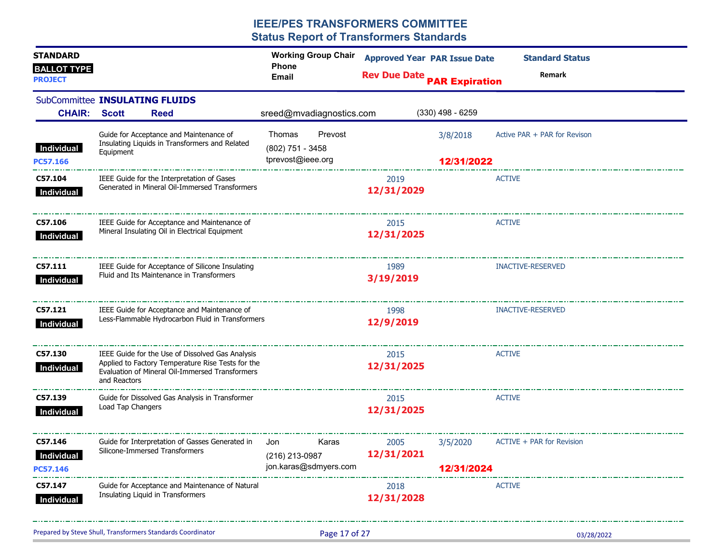| <b>STANDARD</b>                          |                   |                                                                                                                                                          | <b>Working Group Chair</b><br><b>Phone</b>                 |                    | <b>Approved Year PAR Issue Date</b> | <b>Standard Status</b>       |
|------------------------------------------|-------------------|----------------------------------------------------------------------------------------------------------------------------------------------------------|------------------------------------------------------------|--------------------|-------------------------------------|------------------------------|
| <b>BALLOT TYPE</b><br><b>PROJECT</b>     |                   |                                                                                                                                                          | Email                                                      |                    | <b>Rev Due Date PAR Expiration</b>  | Remark                       |
| SubCommittee INSULATING FLUIDS           |                   |                                                                                                                                                          |                                                            |                    |                                     |                              |
| <b>CHAIR:</b>                            | <b>Scott</b>      | <b>Reed</b>                                                                                                                                              | sreed@mvadiagnostics.com                                   |                    | $(330)$ 498 - 6259                  |                              |
| Individual<br><b>PC57.166</b>            | Equipment         | Guide for Acceptance and Maintenance of<br>Insulating Liquids in Transformers and Related                                                                | Thomas<br>Prevost<br>(802) 751 - 3458<br>tprevost@ieee.org |                    | 3/8/2018<br>12/31/2022              | Active PAR + PAR for Revison |
| C57.104<br>Individual                    |                   | IEEE Guide for the Interpretation of Gases<br>Generated in Mineral Oil-Immersed Transformers                                                             |                                                            | 2019<br>12/31/2029 |                                     | <b>ACTIVE</b>                |
| C57.106<br>Individual                    |                   | IEEE Guide for Acceptance and Maintenance of<br>Mineral Insulating Oil in Electrical Equipment                                                           |                                                            | 2015<br>12/31/2025 |                                     | <b>ACTIVE</b>                |
| C57.111<br>Individual                    |                   | IEEE Guide for Acceptance of Silicone Insulating<br>Fluid and Its Maintenance in Transformers                                                            |                                                            | 1989<br>3/19/2019  |                                     | <b>INACTIVE-RESERVED</b>     |
| C57.121<br>Individual                    |                   | IEEE Guide for Acceptance and Maintenance of<br>Less-Flammable Hydrocarbon Fluid in Transformers                                                         |                                                            | 1998<br>12/9/2019  |                                     | <b>INACTIVE-RESERVED</b>     |
| C57.130<br>Individual                    | and Reactors      | IEEE Guide for the Use of Dissolved Gas Analysis<br>Applied to Factory Temperature Rise Tests for the<br>Evaluation of Mineral Oil-Immersed Transformers |                                                            | 2015<br>12/31/2025 |                                     | <b>ACTIVE</b>                |
| C57.139<br>Individual                    | Load Tap Changers | Guide for Dissolved Gas Analysis in Transformer                                                                                                          |                                                            | 2015<br>12/31/2025 |                                     | <b>ACTIVE</b>                |
| C57.146<br><b>Individual</b><br>PC57.146 |                   | Guide for Interpretation of Gasses Generated in<br>Silicone-Immersed Transformers                                                                        | Karas<br>Jon<br>(216) 213-0987<br>jon.karas@sdmyers.com    | 2005<br>12/31/2021 | 3/5/2020<br>12/31/2024              | ACTIVE + PAR for Revision    |
| C57.147<br>Individual                    |                   | Guide for Acceptance and Maintenance of Natural<br>Insulating Liquid in Transformers                                                                     |                                                            | 2018<br>12/31/2028 |                                     | <b>ACTIVE</b>                |
|                                          |                   | Prepared by Steve Shull, Transformers Standards Coordinator                                                                                              | Page 17 of 27                                              |                    |                                     | 03/28/2022                   |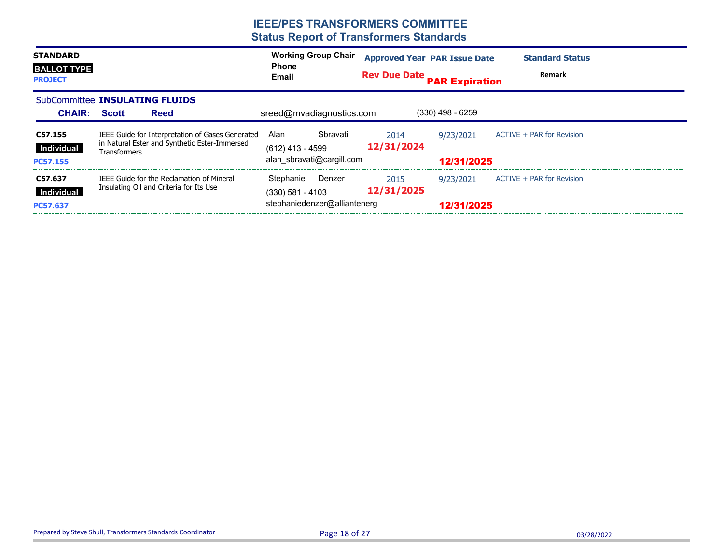| <b>STANDARD</b><br><b>BALLOT TYPE</b><br><b>PROJECT</b> |                                                                                                                   | <b>Working Group Chair</b><br><b>Phone</b><br>Email                       | <b>Approved Year PAR Issue Date</b><br><b>Rev Due Date</b> | <b>PAR Expiration</b>   | <b>Standard Status</b><br>Remark |
|---------------------------------------------------------|-------------------------------------------------------------------------------------------------------------------|---------------------------------------------------------------------------|------------------------------------------------------------|-------------------------|----------------------------------|
| <b>CHAIR:</b>                                           | SubCommittee <b>INSULATING FLUIDS</b><br><b>Scott</b><br><b>Reed</b>                                              | sreed@mvadiagnostics.com                                                  |                                                            | $(330)$ 498 - 6259      |                                  |
| C57.155<br>Individual<br>PC57.155                       | IEEE Guide for Interpretation of Gases Generated<br>in Natural Ester and Synthetic Ester-Immersed<br>Transformers | Sbravati<br>Alan<br>(612) 413 - 4599<br>alan sbravati@cargill.com         | 2014<br>12/31/2024                                         | 9/23/2021<br>12/31/2025 | ACTIVE + PAR for Revision        |
| C57.637<br>Individual<br><b>PC57.637</b>                | <b>IEEE Guide for the Reclamation of Mineral</b><br>Insulating Oil and Criteria for Its Use                       | Stephanie<br>Denzer<br>$(330)$ 581 - 4103<br>stephaniedenzer@alliantenerg | 2015<br>12/31/2025                                         | 9/23/2021<br>12/31/2025 | ACTIVE + PAR for Revision        |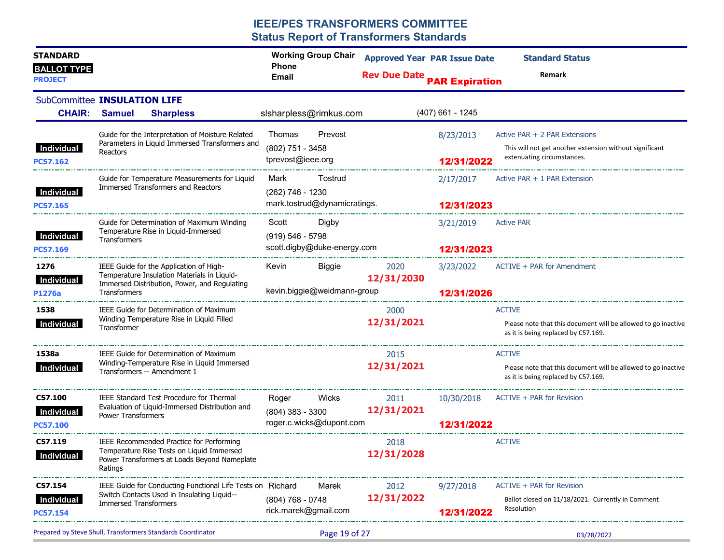| <b>STANDARD</b><br><b>BALLOT TYPE</b><br><b>PROJECT</b> |                                                                                                                                                                                                                                        | <b>Working Group Chair</b><br><b>Phone</b><br>Email                            | <b>Approved Year PAR Issue Date</b><br><b>Rev Due Date</b> | <b>PAR Expiration</b>    | <b>Standard Status</b><br><b>Remark</b>                                                                                |
|---------------------------------------------------------|----------------------------------------------------------------------------------------------------------------------------------------------------------------------------------------------------------------------------------------|--------------------------------------------------------------------------------|------------------------------------------------------------|--------------------------|------------------------------------------------------------------------------------------------------------------------|
| <b>CHAIR:</b>                                           | SubCommittee INSULATION LIFE<br><b>Samuel</b><br><b>Sharpless</b>                                                                                                                                                                      | slsharpless@rimkus.com                                                         |                                                            | $(407)$ 661 - 1245       |                                                                                                                        |
| Individual<br>PC57.162                                  | Guide for the Interpretation of Moisture Related<br>Parameters in Liquid Immersed Transformers and<br>Reactors<br>الوائل سنواح والسواح والسواح والسواح والسواح والسواح والسواح والسواح والسواح والسواح والمتواطئ الموالي والمواج والمت | Thomas<br>Prevost<br>(802) 751 - 3458<br>tprevost@ieee.org                     |                                                            | 8/23/2013<br>12/31/2022  | Active PAR + 2 PAR Extensions<br>This will not get another extension without significant<br>extenuating circumstances. |
| Individual<br>PC57.165                                  | Guide for Temperature Measurements for Liquid<br>Immersed Transformers and Reactors                                                                                                                                                    | Mark<br>Tostrud<br>(262) 746 - 1230<br>mark.tostrud@dynamicratings.            |                                                            | 2/17/2017<br>12/31/2023  | Active PAR $+1$ PAR Extension                                                                                          |
| Individual<br>PC57.169                                  | Guide for Determination of Maximum Winding<br>Temperature Rise in Liquid-Immersed<br>Transformers                                                                                                                                      | Scott<br>Digby<br>$(919) 546 - 5798$<br>scott.digby@duke-energy.com            |                                                            | 3/21/2019<br>12/31/2023  | <b>Active PAR</b>                                                                                                      |
| 1276<br>Individual<br>P1276a                            | IEEE Guide for the Application of High-<br>Temperature Insulation Materials in Liquid-<br>Immersed Distribution, Power, and Regulating<br>Transformers                                                                                 | Kevin<br>Biggie<br>kevin.biggie@weidmann-group                                 | 2020<br>12/31/2030                                         | 3/23/2022<br>12/31/2026  | ACTIVE + PAR for Amendment                                                                                             |
| 1538<br>Individual                                      | IEEE Guide for Determination of Maximum<br>Winding Temperature Rise in Liquid Filled<br>Transformer                                                                                                                                    |                                                                                | 2000<br>12/31/2021                                         |                          | <b>ACTIVE</b><br>Please note that this document will be allowed to go inactive<br>as it is being replaced by C57.169.  |
| 1538a<br>Individual                                     | IEEE Guide for Determination of Maximum<br>Winding-Temperature Rise in Liquid Immersed<br>Transformers -- Amendment 1                                                                                                                  |                                                                                | 2015<br>12/31/2021                                         |                          | <b>ACTIVE</b><br>Please note that this document will be allowed to go inactive<br>as it is being replaced by C57.169.  |
| C57.100<br>Individual<br>PC57.100                       | IEEE Standard Test Procedure for Thermal<br>Evaluation of Liquid-Immersed Distribution and<br><b>Power Transformers</b>                                                                                                                | Roger<br><b>Wicks Mickey</b><br>$(804)$ 383 - 3300<br>roger.c.wicks@dupont.com | 2011<br>12/31/2021                                         | 10/30/2018<br>12/31/2022 | ACTIVE + PAR for Revision                                                                                              |
| C57.119<br>Individual                                   | IEEE Recommended Practice for Performing<br>Temperature Rise Tests on Liquid Immersed<br>Power Transformers at Loads Beyond Nameplate<br>Ratings                                                                                       |                                                                                | 2018<br>12/31/2028                                         |                          | <b>ACTIVE</b>                                                                                                          |
| C57.154<br><b>Individual</b><br><b>PC57.154</b>         | IEEE Guide for Conducting Functional Life Tests on Richard<br>Switch Contacts Used in Insulating Liquid--<br><b>Immersed Transformers</b>                                                                                              | Marek<br>$(804)$ 768 - 0748<br>rick.marek@gmail.com                            | 2012<br>12/31/2022                                         | 9/27/2018<br>12/31/2022  | ACTIVE + PAR for Revision<br>Ballot closed on 11/18/2021. Currently in Comment<br>Resolution                           |
|                                                         | Prepared by Steve Shull, Transformers Standards Coordinator                                                                                                                                                                            | Page 19 of 27                                                                  |                                                            |                          | 03/28/2022                                                                                                             |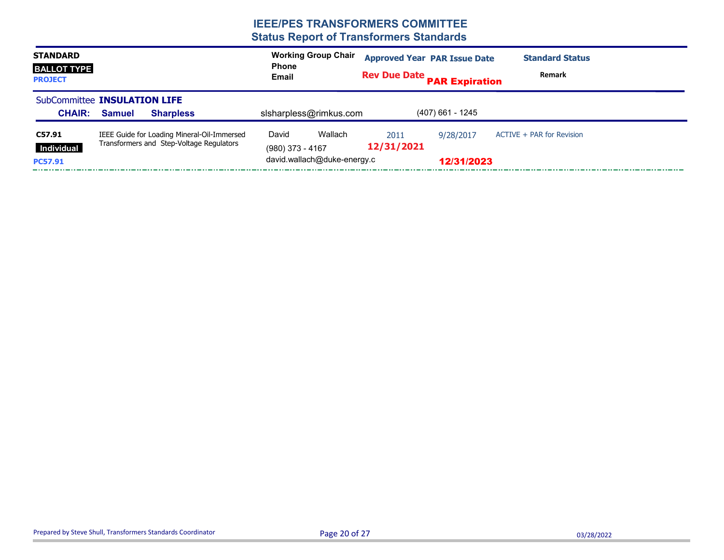| <b>STANDARD</b><br><b>BALLOT TYPE</b><br><b>PROJECT</b> |               |                                                                                         | <b>Working Group Chair</b><br><b>Approved Year PAR Issue Date</b><br><b>Standard Status</b><br><b>Phone</b><br>Remark<br><b>Rev Due Date PAR Expiration</b><br>Email |                                        |                    |                         |                           |
|---------------------------------------------------------|---------------|-----------------------------------------------------------------------------------------|----------------------------------------------------------------------------------------------------------------------------------------------------------------------|----------------------------------------|--------------------|-------------------------|---------------------------|
| SubCommittee INSULATION LIFE<br><b>CHAIR:</b>           | <b>Samuel</b> | <b>Sharpless</b>                                                                        |                                                                                                                                                                      | sisharpless@rimkus.com                 |                    | $(407)$ 661 - 1245      |                           |
| C57.91<br>Individual<br><b>PC57.91</b>                  |               | IEEE Guide for Loading Mineral-Oil-Immersed<br>Transformers and Step-Voltage Regulators | David<br>$(980)$ 373 - 4167                                                                                                                                          | Wallach<br>david.wallach@duke-energy.c | 2011<br>12/31/2021 | 9/28/2017<br>12/31/2023 | ACTIVE + PAR for Revision |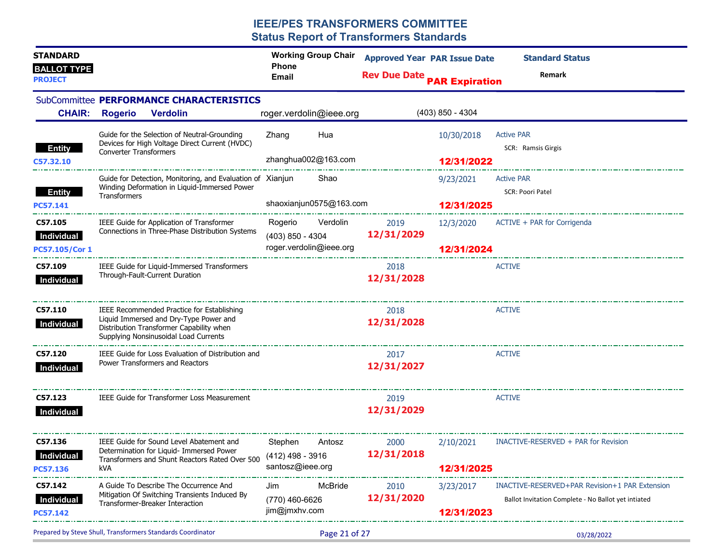| <b>STANDARD</b><br><b>BALLOT TYPE</b><br><b>PROJECT</b> |                               |                                                                                                                                                                                                                | <b>Working Group Chair</b><br><b>Phone</b><br>Email      |               | <b>Rev Due Date PAR Expiration</b>     | <b>Approved Year PAR Issue Date</b> | <b>Standard Status</b><br>Remark                                                                      |  |
|---------------------------------------------------------|-------------------------------|----------------------------------------------------------------------------------------------------------------------------------------------------------------------------------------------------------------|----------------------------------------------------------|---------------|----------------------------------------|-------------------------------------|-------------------------------------------------------------------------------------------------------|--|
| <b>CHAIR:</b>                                           | <b>Rogerio</b>                | SubCommittee PERFORMANCE CHARACTERISTICS<br><b>Verdolin</b>                                                                                                                                                    | roger.verdolin@ieee.org                                  |               |                                        | $(403)$ 850 - 4304                  |                                                                                                       |  |
| <b>Entity</b><br>C57.32.10                              | <b>Converter Transformers</b> | Guide for the Selection of Neutral-Grounding<br>Devices for High Voltage Direct Current (HVDC)                                                                                                                 | Zhang<br>zhanghua002@163.com                             | Hua           |                                        | 10/30/2018<br>12/31/2022            | <b>Active PAR</b><br>SCR: Ramsis Girgis                                                               |  |
| <b>Entity</b><br>PC57.141                               | <b>Transformers</b>           | Guide for Detection, Monitoring, and Evaluation of Xianjun<br>Winding Deformation in Liquid-Immersed Power                                                                                                     | shaoxianjun0575@163.com                                  | Shao          |                                        | 9/23/2021<br>12/31/2025             | <b>Active PAR</b><br><b>SCR: Poori Patel</b>                                                          |  |
| C57.105<br>Individual<br>PC57.105/Cor 1                 |                               | and a state of the complete service of the complete service of the complete service of the complete service of<br>IEEE Guide for Application of Transformer<br>Connections in Three-Phase Distribution Systems | Rogerio<br>$(403)$ 850 - 4304<br>roger.verdolin@ieee.org |               | Verdolin <sub>2019</sub><br>12/31/2029 | 12/3/2020<br>12/31/2024             | ACTIVE + PAR for Corrigenda                                                                           |  |
| C57.109<br>Individual                                   |                               | IEEE Guide for Liquid-Immersed Transformers<br>Through-Fault-Current Duration                                                                                                                                  |                                                          |               | 2018<br>12/31/2028                     |                                     | <b>ACTIVE</b>                                                                                         |  |
| C57.110<br>Individual                                   |                               | IEEE Recommended Practice for Establishing<br>Liquid Immersed and Dry-Type Power and<br>Distribution Transformer Capability when<br>Supplying Nonsinusoidal Load Currents                                      |                                                          |               | 2018<br>12/31/2028                     |                                     | <b>ACTIVE</b>                                                                                         |  |
| C57.120<br>Individual                                   |                               | IEEE Guide for Loss Evaluation of Distribution and<br>Power Transformers and Reactors                                                                                                                          |                                                          |               | 2017<br>12/31/2027                     |                                     | <b>ACTIVE</b>                                                                                         |  |
| C57.123<br>Individual                                   |                               | IEEE Guide for Transformer Loss Measurement                                                                                                                                                                    |                                                          |               | 2019<br>12/31/2029                     |                                     | <b>ACTIVE</b>                                                                                         |  |
| C57.136<br>Individual<br>PC57.136                       | kVA                           | IEEE Guide for Sound Level Abatement and<br>Determination for Liquid- Immersed Power<br>Transformers and Shunt Reactors Rated Over 500                                                                         | Stephen<br>(412) 498 - 3916<br>santosz@ieee.org          | Antosz        | 2000<br>12/31/2018                     | 2/10/2021<br>12/31/2025             | INACTIVE-RESERVED + PAR for Revision                                                                  |  |
| C57.142<br>Individual<br>PC57.142                       |                               | A Guide To Describe The Occurrence And<br>Mitigation Of Switching Transients Induced By<br>Transformer-Breaker Interaction                                                                                     | Jim<br>(770) 460-6626<br>jim@jmxhv.com                   | McBride       | 2010<br>12/31/2020                     | 3/23/2017<br>12/31/2023             | INACTIVE-RESERVED+PAR Revision+1 PAR Extension<br>Ballot Invitation Complete - No Ballot yet intiated |  |
|                                                         |                               | Prepared by Steve Shull, Transformers Standards Coordinator                                                                                                                                                    |                                                          | Page 21 of 27 |                                        |                                     | 03/28/2022                                                                                            |  |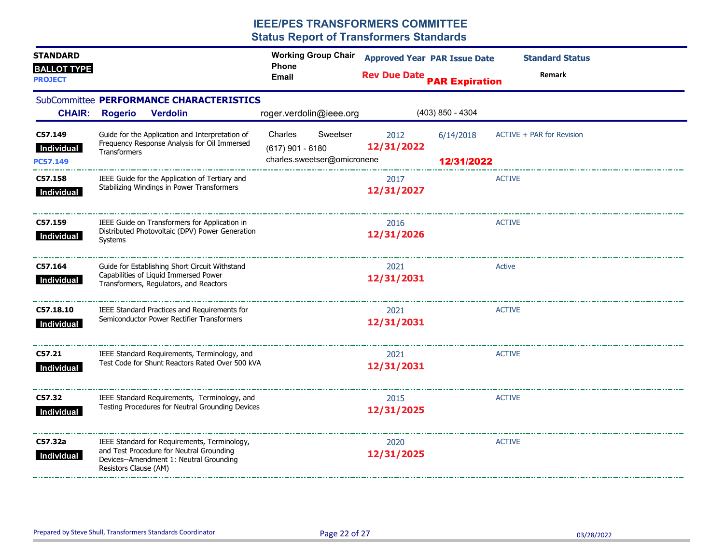| <b>STANDARD</b><br><b>BALLOT TYPE</b> |                                                  |                                                                                                                                     | <b>Working Group Chair</b><br><b>Phone</b>                               | <b>Approved Year PAR Issue Date</b>          |                         | <b>Standard Status</b>    |  |  |
|---------------------------------------|--------------------------------------------------|-------------------------------------------------------------------------------------------------------------------------------------|--------------------------------------------------------------------------|----------------------------------------------|-------------------------|---------------------------|--|--|
| <b>PROJECT</b>                        |                                                  |                                                                                                                                     | <b>Email</b>                                                             | <b>Rev Due Date PAR Expiration</b><br>Remark |                         |                           |  |  |
| <b>CHAIR:</b>                         | <b>Rogerio</b>                                   | SubCommittee PERFORMANCE CHARACTERISTICS<br><b>Verdolin</b>                                                                         | roger.verdolin@ieee.org                                                  |                                              | $(403)$ 850 - 4304      |                           |  |  |
| C57.149<br>Individual<br>PC57.149     | <b>Transformers</b>                              | Guide for the Application and Interpretation of<br>Frequency Response Analysis for Oil Immersed                                     | Sweetser<br>Charles<br>$(617)$ 901 - 6180<br>charles.sweetser@omicronene | 2012<br>12/31/2022                           | 6/14/2018<br>12/31/2022 | ACTIVE + PAR for Revision |  |  |
| C57.158<br>Individual                 |                                                  | IEEE Guide for the Application of Tertiary and<br>Stabilizing Windings in Power Transformers                                        |                                                                          | 2017<br>12/31/2027                           |                         | <b>ACTIVE</b>             |  |  |
| C57.159<br>Individual                 | Systems                                          | IEEE Guide on Transformers for Application in<br>Distributed Photovoltaic (DPV) Power Generation                                    |                                                                          | 2016<br>12/31/2026                           |                         | <b>ACTIVE</b>             |  |  |
| C57.164<br>Individual                 |                                                  | Guide for Establishing Short Circuit Withstand<br>Capabilities of Liquid Immersed Power<br>Transformers, Regulators, and Reactors   |                                                                          | 2021<br>12/31/2031                           |                         | Active                    |  |  |
| C57.18.10<br>Individual               |                                                  | IEEE Standard Practices and Requirements for<br>Semiconductor Power Rectifier Transformers                                          |                                                                          | 2021<br>12/31/2031                           |                         | <b>ACTIVE</b>             |  |  |
| C57.21<br>Individual                  |                                                  | IEEE Standard Requirements, Terminology, and<br>Test Code for Shunt Reactors Rated Over 500 kVA                                     |                                                                          | 2021<br>12/31/2031                           |                         | <b>ACTIVE</b>             |  |  |
| C57.32<br>Individual                  |                                                  | IEEE Standard Requirements, Terminology, and<br>Testing Procedures for Neutral Grounding Devices                                    |                                                                          | 2015<br>12/31/2025                           |                         | <b>ACTIVE</b>             |  |  |
| C57.32a<br>Individual                 | Resistors Clause (AM)<br>_______________________ | IEEE Standard for Requirements, Terminology,<br>and Test Procedure for Neutral Grounding<br>Devices--Amendment 1: Neutral Grounding |                                                                          | 2020<br>12/31/2025                           |                         | <b>ACTIVE</b>             |  |  |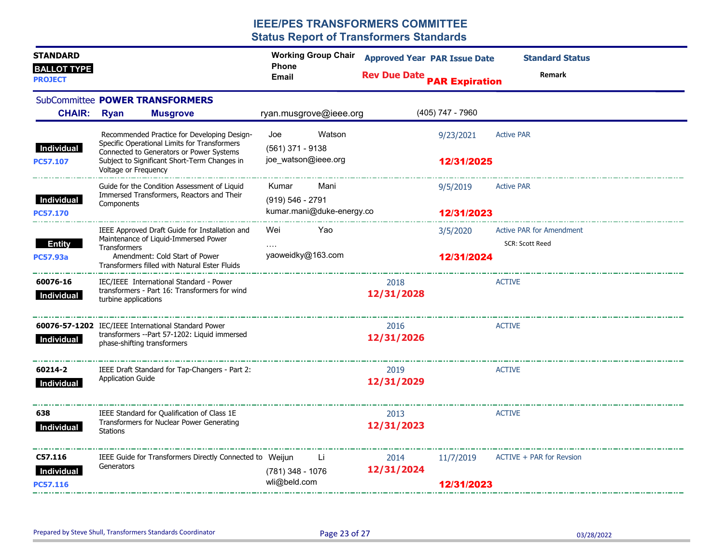| <b>STANDARD</b><br><b>BALLOT TYPE</b><br><b>PROJECT</b> |                                                                                                                                         |                                                                                                      | <b>Working Group Chair</b><br><b>Phone</b><br><b>Email</b> |                           | <b>Approved Year PAR Issue Date</b><br><b>Rev Due Date PAR Expiration</b> |                         | <b>Standard Status</b><br><b>Remark</b> |
|---------------------------------------------------------|-----------------------------------------------------------------------------------------------------------------------------------------|------------------------------------------------------------------------------------------------------|------------------------------------------------------------|---------------------------|---------------------------------------------------------------------------|-------------------------|-----------------------------------------|
|                                                         |                                                                                                                                         | SubCommittee POWER TRANSFORMERS                                                                      |                                                            |                           |                                                                           |                         |                                         |
| <b>CHAIR:</b>                                           | <b>Ryan</b>                                                                                                                             | <b>Musgrove</b>                                                                                      |                                                            | ryan.musgrove@ieee.org    |                                                                           | (405) 747 - 7960        |                                         |
| Individual                                              | Recommended Practice for Developing Design-<br>Specific Operational Limits for Transformers<br>Connected to Generators or Power Systems |                                                                                                      | Joe<br>$(561)$ 371 - 9138                                  | Watson                    |                                                                           | 9/23/2021               | <b>Active PAR</b>                       |
| <b>PC57.107</b>                                         | Voltage or Frequency                                                                                                                    | Subject to Significant Short-Term Changes in                                                         | joe_watson@ieee.org                                        |                           |                                                                           | 12/31/2025              |                                         |
|                                                         |                                                                                                                                         | Guide for the Condition Assessment of Liquid<br>Immersed Transformers, Reactors and Their            | Kumar                                                      | Mani                      |                                                                           | 9/5/2019                | <b>Active PAR</b>                       |
| <b>Individual</b><br><b>PC57.170</b>                    | Components                                                                                                                              |                                                                                                      | (919) 546 - 2791                                           | kumar.mani@duke-energy.co | 12/31/2023                                                                |                         |                                         |
|                                                         |                                                                                                                                         | IEEE Approved Draft Guide for Installation and<br>Maintenance of Liquid-Immersed Power               | Wei                                                        | Yao                       |                                                                           | 3/5/2020                | <b>Active PAR for Amendment</b>         |
| Entity<br><b>PC57.93a</b>                               | Transformers<br>Amendment: Cold Start of Power<br>Transformers filled with Natural Ester Fluids                                         |                                                                                                      | yaoweidky@163.com                                          |                           | 12/31/2024                                                                |                         | <b>SCR: Scott Reed</b>                  |
| 60076-16<br>Individual                                  | turbine applications                                                                                                                    | IEC/IEEE International Standard - Power<br>transformers - Part 16: Transformers for wind             |                                                            |                           | 2018<br>12/31/2028                                                        |                         | <b>ACTIVE</b>                           |
| Individual                                              | phase-shifting transformers                                                                                                             | 60076-57-1202 IEC/IEEE International Standard Power<br>transformers -- Part 57-1202: Liquid immersed |                                                            |                           | 2016<br>12/31/2026                                                        |                         | <b>ACTIVE</b>                           |
| 60214-2<br>Individual                                   | <b>Application Guide</b>                                                                                                                | IEEE Draft Standard for Tap-Changers - Part 2:                                                       |                                                            |                           | 2019<br>12/31/2029                                                        |                         | <b>ACTIVE</b>                           |
| 638<br>Individual                                       | <b>Stations</b>                                                                                                                         | IEEE Standard for Qualification of Class 1E<br>Transformers for Nuclear Power Generating             |                                                            |                           | 2013<br>12/31/2023                                                        |                         | <b>ACTIVE</b>                           |
| C57.116<br>Individual<br><b>PC57.116</b>                | Generators                                                                                                                              | IEEE Guide for Transformers Directly Connected to Weijun                                             | (781) 348 - 1076<br>wli@beld.com                           | Li                        | 2014<br>12/31/2024                                                        | 11/7/2019<br>12/31/2023 | ACTIVE + PAR for Revsion                |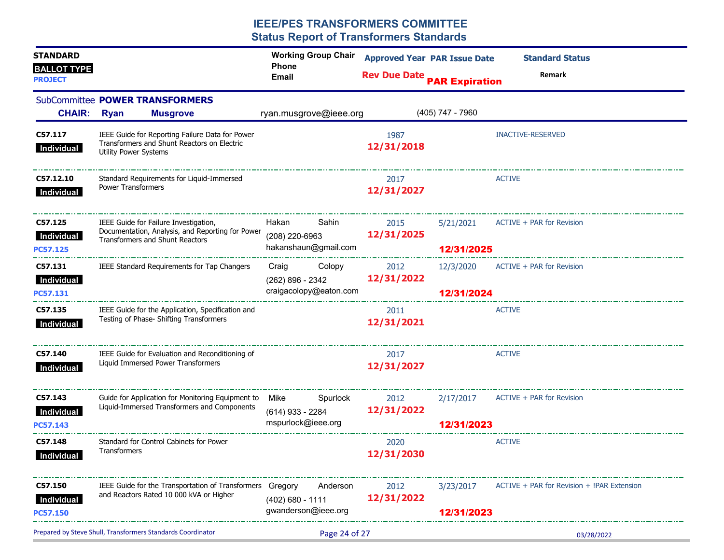| <b>STANDARD</b><br><b>BALLOT TYPE</b><br><b>PROJECT</b> |                              |                                                                                                                              | <b>Working Group Chair</b><br><b>Phone</b><br><b>Email</b> |               | <b>Approved Year PAR Issue Date</b><br><b>Rev Due Date PAR Expiration</b> |                         | <b>Standard Status</b><br>Remark           |
|---------------------------------------------------------|------------------------------|------------------------------------------------------------------------------------------------------------------------------|------------------------------------------------------------|---------------|---------------------------------------------------------------------------|-------------------------|--------------------------------------------|
| <b>CHAIR:</b>                                           | <b>Ryan</b>                  | SubCommittee POWER TRANSFORMERS<br><b>Musgrove</b>                                                                           | ryan.musgrove@ieee.org                                     |               |                                                                           | (405) 747 - 7960        |                                            |
|                                                         |                              |                                                                                                                              |                                                            |               |                                                                           |                         |                                            |
| C57.117<br>Individual                                   | <b>Utility Power Systems</b> | IEEE Guide for Reporting Failure Data for Power<br>Transformers and Shunt Reactors on Electric                               |                                                            |               | 1987<br>12/31/2018                                                        |                         | <b>INACTIVE-RESERVED</b>                   |
| C57.12.10<br>Individual                                 | Power Transformers           | Standard Requirements for Liquid-Immersed                                                                                    |                                                            |               | 2017<br>12/31/2027                                                        |                         | <b>ACTIVE</b>                              |
| C57.125<br>Individual<br><b>PC57.125</b>                |                              | IEEE Guide for Failure Investigation,<br>Documentation, Analysis, and Reporting for Power<br>Transformers and Shunt Reactors | Hakan<br>(208) 220-6963<br>hakanshaun@gmail.com            | Sahin         | 2015<br>12/31/2025                                                        | 5/21/2021<br>12/31/2025 | ACTIVE + PAR for Revision                  |
| C57.131                                                 |                              | IEEE Standard Requirements for Tap Changers                                                                                  | Craig Colopy 2012                                          |               |                                                                           |                         | 12/3/2020 ACTIVE + PAR for Revision        |
| Individual<br>PC57.131                                  |                              |                                                                                                                              | (262) 896 - 2342<br>craigacolopy@eaton.com                 |               | 12/31/2022                                                                | 12/31/2024              |                                            |
| C57.135<br>Individual                                   |                              | IEEE Guide for the Application, Specification and<br>Testing of Phase- Shifting Transformers                                 |                                                            |               | 2011<br>12/31/2021                                                        |                         | <b>ACTIVE</b>                              |
| C57.140<br>Individual                                   |                              | IEEE Guide for Evaluation and Reconditioning of<br>Liquid Immersed Power Transformers                                        |                                                            |               | 2017<br>12/31/2027                                                        |                         | <b>ACTIVE</b>                              |
| C57.143<br>Individual                                   |                              | Guide for Application for Monitoring Equipment to<br>Liquid-Immersed Transformers and Components                             | Mike<br>(614) 933 - 2284                                   | Spurlock      | 2012<br>12/31/2022                                                        | 2/17/2017               | ACTIVE + PAR for Revision                  |
| <b>PC57.143</b>                                         |                              |                                                                                                                              | mspurlock@ieee.org                                         |               |                                                                           | 12/31/2023              |                                            |
| C57.148<br>Individual                                   | Transformers                 | Standard for Control Cabinets for Power                                                                                      |                                                            |               | 2020<br>12/31/2030                                                        |                         | <b>ACTIVE</b>                              |
| C57.150<br>Individual<br>PC57.150                       |                              | IEEE Guide for the Transportation of Transformers Gregory<br>and Reactors Rated 10 000 kVA or Higher                         | (402) 680 - 1111<br>gwanderson@ieee.org                    | Anderson      | 2012<br>12/31/2022                                                        | 3/23/2017<br>12/31/2023 | ACTIVE + PAR for Revision + !PAR Extension |
|                                                         |                              | Prepared by Steve Shull, Transformers Standards Coordinator                                                                  |                                                            | Page 24 of 27 |                                                                           |                         | 03/28/2022                                 |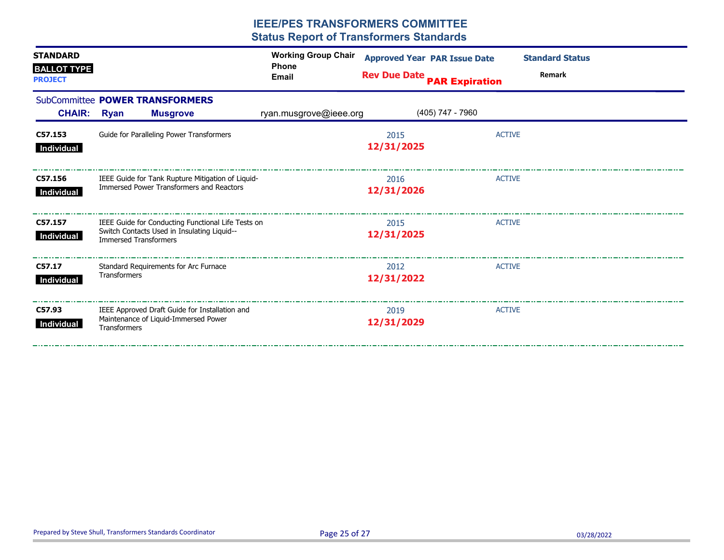| <b>STANDARD</b><br><b>BALLOT TYPE</b><br><b>PROJECT</b> |                                                                                                                                   | <b>Working Group Chair</b><br><b>Phone</b><br><b>Email</b> | <b>Approved Year PAR Issue Date</b><br><b>Rev Due Date PAR Expiration</b> | <b>Standard Status</b><br>Remark |
|---------------------------------------------------------|-----------------------------------------------------------------------------------------------------------------------------------|------------------------------------------------------------|---------------------------------------------------------------------------|----------------------------------|
| CHAIR: Ryan                                             | SubCommittee POWER TRANSFORMERS<br><b>Musgrove</b>                                                                                | ryan.musgrove@ieee.org                                     | (405) 747 - 7960                                                          |                                  |
| C57.153<br>Individual                                   | Guide for Paralleling Power Transformers                                                                                          |                                                            | 2015<br>12/31/2025                                                        | <b>ACTIVE</b>                    |
| C57.156<br>Individual                                   | IEEE Guide for Tank Rupture Mitigation of Liquid-<br>Immersed Power Transformers and Reactors                                     |                                                            | 2016<br>12/31/2026                                                        | <b>ACTIVE</b>                    |
| C57.157<br>Individual                                   | IEEE Guide for Conducting Functional Life Tests on<br>Switch Contacts Used in Insulating Liquid--<br><b>Immersed Transformers</b> |                                                            | 2015<br>12/31/2025                                                        | <b>ACTIVE</b>                    |
| C57.17<br>Individual                                    | Standard Requirements for Arc Furnace<br><b>Transformers</b>                                                                      |                                                            | 2012<br>12/31/2022                                                        | <b>ACTIVE</b>                    |
| C57.93<br>Individual                                    | IEEE Approved Draft Guide for Installation and<br>Maintenance of Liquid-Immersed Power<br><b>Transformers</b>                     |                                                            | 2019<br>12/31/2029                                                        | <b>ACTIVE</b>                    |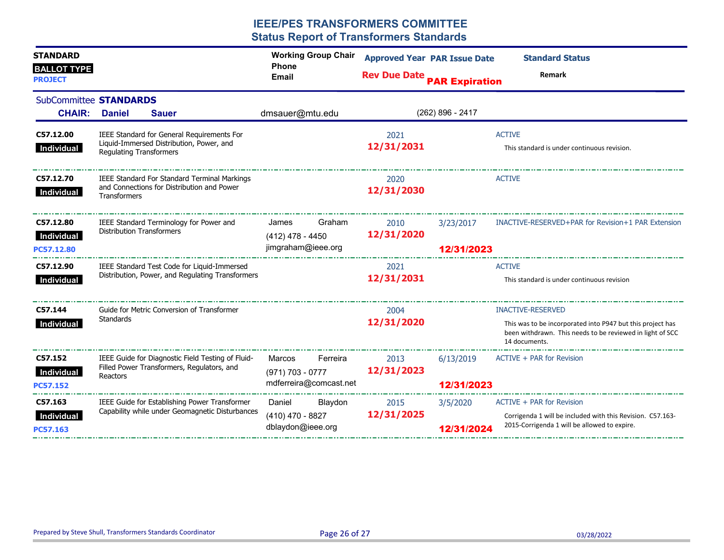| <b>STANDARD</b>                         |                                  |                                                                                                   | <b>Working Group Chair</b>                             |          | <b>Approved Year PAR Issue Date</b> |                         | <b>Standard Status</b>                                                                                                                   |
|-----------------------------------------|----------------------------------|---------------------------------------------------------------------------------------------------|--------------------------------------------------------|----------|-------------------------------------|-------------------------|------------------------------------------------------------------------------------------------------------------------------------------|
| <b>BALLOT TYPE</b><br><b>PROJECT</b>    |                                  |                                                                                                   | <b>Phone</b><br>Email                                  |          | <b>Rev Due Date</b>                 | <b>PAR Expiration</b>   | Remark                                                                                                                                   |
| SubCommittee STANDARDS<br><b>CHAIR:</b> | <b>Daniel</b>                    | <b>Sauer</b>                                                                                      | dmsauer@mtu.edu                                        |          |                                     | (262) 896 - 2417        |                                                                                                                                          |
| C57.12.00<br>Individual                 | <b>Regulating Transformers</b>   | IEEE Standard for General Requirements For<br>Liquid-Immersed Distribution, Power, and            |                                                        |          | 2021<br>12/31/2031                  |                         | <b>ACTIVE</b><br>This standard is under continuous revision.                                                                             |
| C57.12.70<br>Individual                 | Transformers                     | <b>IEEE Standard For Standard Terminal Markings</b><br>and Connections for Distribution and Power |                                                        |          | 2020<br>12/31/2030                  |                         | <b>ACTIVE</b>                                                                                                                            |
| C57.12.80<br>Individual<br>PC57.12.80   | <b>Distribution Transformers</b> | IEEE Standard Terminology for Power and                                                           | James<br>(412) 478 - 4450<br>jimgraham@ieee.org        | Graham   | 2010<br>12/31/2020                  | 3/23/2017<br>12/31/2023 | INACTIVE-RESERVED+PAR for Revision+1 PAR Extension                                                                                       |
| C57.12.90<br>Individual                 |                                  | IEEE Standard Test Code for Liquid-Immersed<br>Distribution, Power, and Regulating Transformers   |                                                        |          | 2021<br>12/31/2031                  |                         | <b>ACTIVE</b><br>This standard is under continuous revision                                                                              |
| C57.144                                 |                                  | Guide for Metric Conversion of Transformer                                                        |                                                        |          | 2004                                |                         | <b>INACTIVE-RESERVED</b>                                                                                                                 |
| Individual                              | Standards                        |                                                                                                   |                                                        |          | 12/31/2020                          |                         | This was to be incorporated into P947 but this project has<br>been withdrawn. This needs to be reviewed in light of SCC<br>14 documents. |
| C57.152<br>Individual<br>PC57.152       | Reactors                         | IEEE Guide for Diagnostic Field Testing of Fluid-<br>Filled Power Transformers, Regulators, and   | Marcos<br>$(971) 703 - 0777$<br>mdferreira@comcast.net | Ferreira | 2013<br>12/31/2023                  | 6/13/2019<br>12/31/2023 | ACTIVE + PAR for Revision                                                                                                                |
| C57.163<br>Individual<br>PC57.163       |                                  | IEEE Guide for Establishing Power Transformer<br>Capability while under Geomagnetic Disturbances  | Daniel<br>$(410)$ 470 - 8827<br>dblaydon@ieee.org      | Blaydon  | 2015<br>12/31/2025                  | 3/5/2020<br>12/31/2024  | ACTIVE + PAR for Revision<br>Corrigenda 1 will be included with this Revision. C57.163-<br>2015-Corrigenda 1 will be allowed to expire.  |